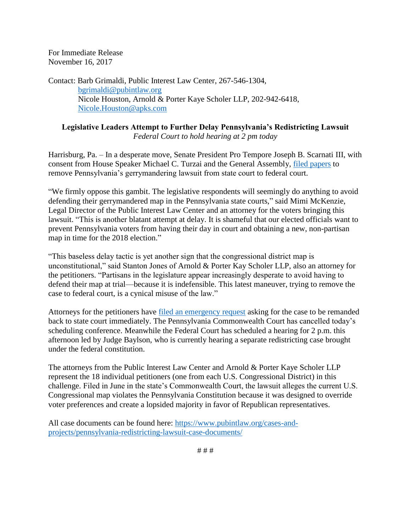For Immediate Release November 16, 2017

Contact: Barb Grimaldi, Public Interest Law Center, 267-546-1304, [bgrimaldi@pubintlaw.org](mailto:bgrimaldi@pubintlaw.org) Nicole Houston, Arnold & Porter Kaye Scholer LLP, 202-942-6418, [Nicole.Houston@apks.com](mailto:Nicole.Houston@apks.com)

## **Legislative Leaders Attempt to Further Delay Pennsylvania's Redistricting Lawsuit** *Federal Court to hold hearing at 2 pm today*

Harrisburg, Pa. – In a desperate move, Senate President Pro Tempore Joseph B. Scarnati III, with consent from House Speaker Michael C. Turzai and the General Assembly, [filed papers](https://www.pubintlaw.org/wp-content/uploads/2017/06/2017-11-15-Notice-of-Removal.pdf) to remove Pennsylvania's gerrymandering lawsuit from state court to federal court.

"We firmly oppose this gambit. The legislative respondents will seemingly do anything to avoid defending their gerrymandered map in the Pennsylvania state courts," said Mimi McKenzie, Legal Director of the Public Interest Law Center and an attorney for the voters bringing this lawsuit. "This is another blatant attempt at delay. It is shameful that our elected officials want to prevent Pennsylvania voters from having their day in court and obtaining a new, non-partisan map in time for the 2018 election."

"This baseless delay tactic is yet another sign that the congressional district map is unconstitutional," said Stanton Jones of Arnold & Porter Kay Scholer LLP, also an attorney for the petitioners. "Partisans in the legislature appear increasingly desperate to avoid having to defend their map at trial—because it is indefensible. This latest maneuver, trying to remove the case to federal court, is a cynical misuse of the law."

Attorneys for the petitioners have filed [an emergency request](https://www.pubintlaw.org/wp-content/uploads/2017/06/2017_11_16_Emergency_Motion_to_Remand.pdf) asking for the case to be remanded back to state court immediately. The Pennsylvania Commonwealth Court has cancelled today's scheduling conference. Meanwhile the Federal Court has scheduled a hearing for 2 p.m. this afternoon led by Judge Baylson, who is currently hearing a separate redistricting case brought under the federal constitution.

The attorneys from the Public Interest Law Center and Arnold & Porter Kaye Scholer LLP represent the 18 individual petitioners (one from each U.S. Congressional District) in this challenge. Filed in June in the state's Commonwealth Court, the lawsuit alleges the current U.S. Congressional map violates the Pennsylvania Constitution because it was designed to override voter preferences and create a lopsided majority in favor of Republican representatives.

All case documents can be found here: [https://www.pubintlaw.org/cases-and](https://www.pubintlaw.org/cases-and-projects/pennsylvania-redistricting-lawsuit-case-documents/)[projects/pennsylvania-redistricting-lawsuit-case-documents/](https://www.pubintlaw.org/cases-and-projects/pennsylvania-redistricting-lawsuit-case-documents/)